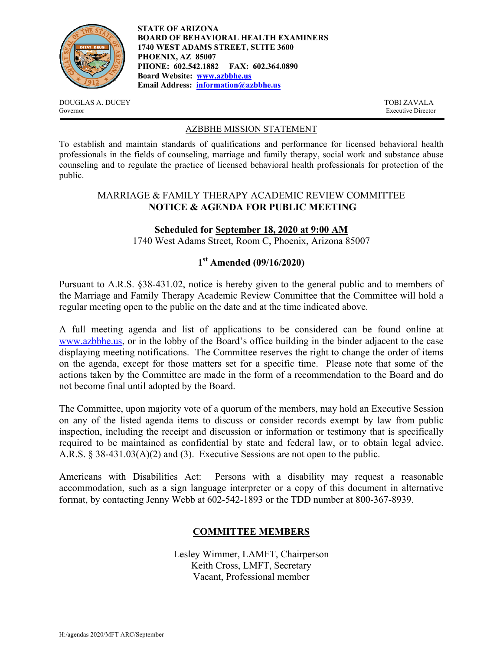

**STATE OF ARIZONA BOARD OF BEHAVIORAL HEALTH EXAMINERS 1740 WEST ADAMS STREET, SUITE 3600 PHOENIX, AZ 85007 PHONE: 602.542.1882 FAX: 602.364.0890 Board Website: www.azbbhe.us Email Address: information@azbbhe.us**

DOUGLAS A. DUCEY TOBI ZAVALA Governor Executive Director

#### AZBBHE MISSION STATEMENT

To establish and maintain standards of qualifications and performance for licensed behavioral health professionals in the fields of counseling, marriage and family therapy, social work and substance abuse counseling and to regulate the practice of licensed behavioral health professionals for protection of the public.

### MARRIAGE & FAMILY THERAPY ACADEMIC REVIEW COMMITTEE **NOTICE & AGENDA FOR PUBLIC MEETING**

### **Scheduled for September 18, 2020 at 9:00 AM**

1740 West Adams Street, Room C, Phoenix, Arizona 85007

# **1st Amended (09/16/2020)**

Pursuant to A.R.S. §38-431.02, notice is hereby given to the general public and to members of the Marriage and Family Therapy Academic Review Committee that the Committee will hold a regular meeting open to the public on the date and at the time indicated above.

A full meeting agenda and list of applications to be considered can be found online at www.azbbhe.us, or in the lobby of the Board's office building in the binder adjacent to the case displaying meeting notifications. The Committee reserves the right to change the order of items on the agenda, except for those matters set for a specific time. Please note that some of the actions taken by the Committee are made in the form of a recommendation to the Board and do not become final until adopted by the Board.

The Committee, upon majority vote of a quorum of the members, may hold an Executive Session on any of the listed agenda items to discuss or consider records exempt by law from public inspection, including the receipt and discussion or information or testimony that is specifically required to be maintained as confidential by state and federal law, or to obtain legal advice. A.R.S. § 38-431.03(A)(2) and (3). Executive Sessions are not open to the public.

Americans with Disabilities Act: Persons with a disability may request a reasonable accommodation, such as a sign language interpreter or a copy of this document in alternative format, by contacting Jenny Webb at 602-542-1893 or the TDD number at 800-367-8939.

### **COMMITTEE MEMBERS**

Lesley Wimmer, LAMFT, Chairperson Keith Cross, LMFT, Secretary Vacant, Professional member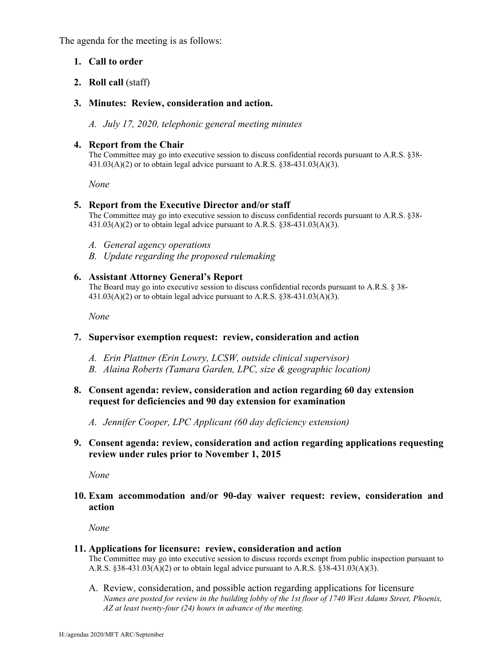The agenda for the meeting is as follows:

### **1. Call to order**

### **2. Roll call** (staff)

### **3. Minutes: Review, consideration and action.**

*A. July 17, 2020, telephonic general meeting minutes* 

### **4. Report from the Chair**

The Committee may go into executive session to discuss confidential records pursuant to A.R.S. §38-  $431.03(A)(2)$  or to obtain legal advice pursuant to A.R.S.  $838-431.03(A)(3)$ .

 *None* 

### **5. Report from the Executive Director and/or staff**

The Committee may go into executive session to discuss confidential records pursuant to A.R.S. §38-  $431.03(A)(2)$  or to obtain legal advice pursuant to A.R.S. §38-431.03(A)(3).

- *A. General agency operations*
- *B. Update regarding the proposed rulemaking*

### **6. Assistant Attorney General's Report**

The Board may go into executive session to discuss confidential records pursuant to A.R.S. § 38-  $431.03(A)(2)$  or to obtain legal advice pursuant to A.R.S. §38-431.03(A)(3).

 *None* 

### **7. Supervisor exemption request: review, consideration and action**

- *A. Erin Plattner (Erin Lowry, LCSW, outside clinical supervisor)*
- *B. Alaina Roberts (Tamara Garden, LPC, size & geographic location)*

### **8. Consent agenda: review, consideration and action regarding 60 day extension request for deficiencies and 90 day extension for examination**

*A. Jennifer Cooper, LPC Applicant (60 day deficiency extension)* 

## **9. Consent agenda: review, consideration and action regarding applications requesting review under rules prior to November 1, 2015**

*None* 

### **10. Exam accommodation and/or 90-day waiver request: review, consideration and action**

*None* 

### **11. Applications for licensure: review, consideration and action**

The Committee may go into executive session to discuss records exempt from public inspection pursuant to A.R.S.  $§38-431.03(A)(2)$  or to obtain legal advice pursuant to A.R.S.  $§38-431.03(A)(3)$ .

A. Review, consideration, and possible action regarding applications for licensure  *Names are posted for review in the building lobby of the 1st floor of 1740 West Adams Street, Phoenix, AZ at least twenty-four (24) hours in advance of the meeting.*